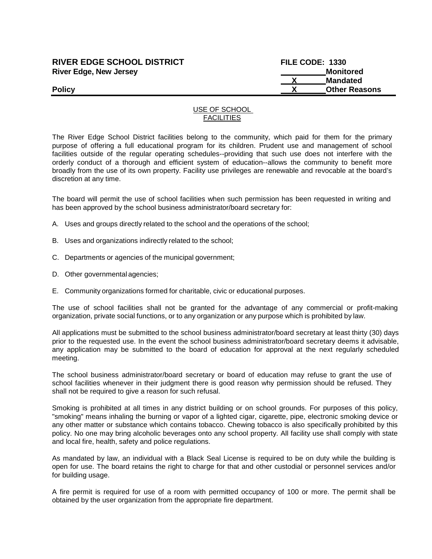### **RIVER EDGE SCHOOL DISTRICT FILE CODE: 1330 River Edge, New Jersey Monitored Monitored Monitored**

# **X Mandated Policy X Other Reasons**

#### USE OF SCHOOL **FACILITIES**

The River Edge School District facilities belong to the community, which paid for them for the primary purpose of offering a full educational program for its children. Prudent use and management of school facilities outside of the regular operating schedules--providing that such use does not interfere with the orderly conduct of a thorough and efficient system of education--allows the community to benefit more broadly from the use of its own property. Facility use privileges are renewable and revocable at the board's discretion at any time.

The board will permit the use of school facilities when such permission has been requested in writing and has been approved by the school business administrator/board secretary for:

- A. Uses and groups directly related to the school and the operations of the school;
- B. Uses and organizations indirectly related to the school;
- C. Departments or agencies of the municipal government;
- D. Other governmental agencies;
- E. Community organizations formed for charitable, civic or educational purposes.

The use of school facilities shall not be granted for the advantage of any commercial or profit-making organization, private social functions, or to any organization or any purpose which is prohibited by law.

All applications must be submitted to the school business administrator/board secretary at least thirty (30) days prior to the requested use. In the event the school business administrator/board secretary deems it advisable, any application may be submitted to the board of education for approval at the next regularly scheduled meeting.

The school business administrator/board secretary or board of education may refuse to grant the use of school facilities whenever in their judgment there is good reason why permission should be refused. They shall not be required to give a reason for such refusal.

Smoking is prohibited at all times in any district building or on school grounds. For purposes of this policy, "smoking" means inhaling the burning or vapor of a lighted cigar, cigarette, pipe, electronic smoking device or any other matter or substance which contains tobacco. Chewing tobacco is also specifically prohibited by this policy. No one may bring alcoholic beverages onto any school property. All facility use shall comply with state and local fire, health, safety and police regulations.

As mandated by law, an individual with a Black Seal License is required to be on duty while the building is open for use. The board retains the right to charge for that and other custodial or personnel services and/or for building usage.

A fire permit is required for use of a room with permitted occupancy of 100 or more. The permit shall be obtained by the user organization from the appropriate fire department.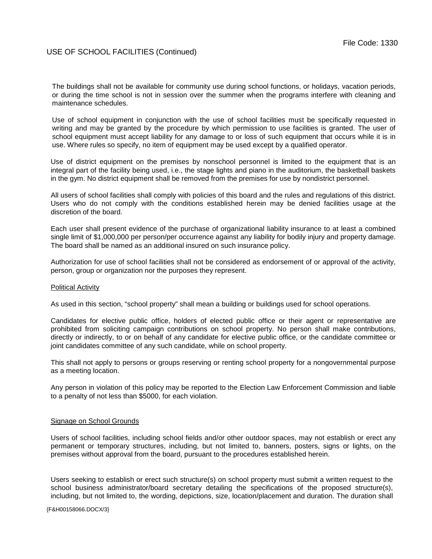The buildings shall not be available for community use during school functions, or holidays, vacation periods, or during the time school is not in session over the summer when the programs interfere with cleaning and maintenance schedules.

Use of school equipment in conjunction with the use of school facilities must be specifically requested in writing and may be granted by the procedure by which permission to use facilities is granted. The user of school equipment must accept liability for any damage to or loss of such equipment that occurs while it is in use. Where rules so specify, no item of equipment may be used except by a qualified operator.

Use of district equipment on the premises by nonschool personnel is limited to the equipment that is an integral part of the facility being used, i.e., the stage lights and piano in the auditorium, the basketball baskets in the gym. No district equipment shall be removed from the premises for use by nondistrict personnel.

All users of school facilities shall comply with policies of this board and the rules and regulations of this district. Users who do not comply with the conditions established herein may be denied facilities usage at the discretion of the board.

Each user shall present evidence of the purchase of organizational liability insurance to at least a combined single limit of \$1,000,000 per person/per occurrence against any liability for bodily injury and property damage. The board shall be named as an additional insured on such insurance policy.

Authorization for use of school facilities shall not be considered as endorsement of or approval of the activity, person, group or organization nor the purposes they represent.

#### Political Activity

As used in this section, "school property" shall mean a building or buildings used for school operations.

Candidates for elective public office, holders of elected public office or their agent or representative are prohibited from soliciting campaign contributions on school property. No person shall make contributions, directly or indirectly, to or on behalf of any candidate for elective public office, or the candidate committee or joint candidates committee of any such candidate, while on school property.

This shall not apply to persons or groups reserving or renting school property for a nongovernmental purpose as a meeting location.

Any person in violation of this policy may be reported to the Election Law Enforcement Commission and liable to a penalty of not less than \$5000, for each violation.

#### Signage on School Grounds

Users of school facilities, including school fields and/or other outdoor spaces, may not establish or erect any permanent or temporary structures, including, but not limited to, banners, posters, signs or lights, on the premises without approval from the board, pursuant to the procedures established herein.

Users seeking to establish or erect such structure(s) on school property must submit a written request to the school business administrator/board secretary detailing the specifications of the proposed structure(s), including, but not limited to, the wording, depictions, size, location/placement and duration. The duration shall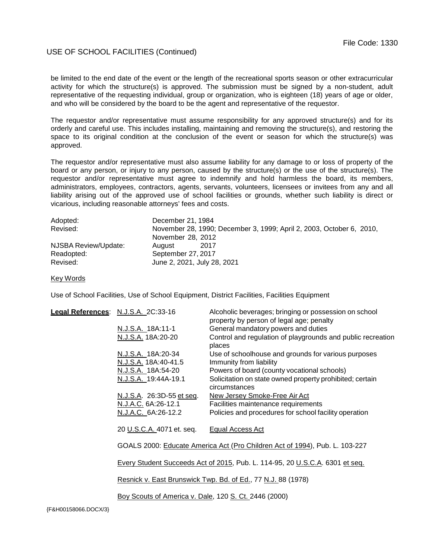#### USE OF SCHOOL FACILITIES (Continued)

be limited to the end date of the event or the length of the recreational sports season or other extracurricular activity for which the structure(s) is approved. The submission must be signed by a non-student, adult representative of the requesting individual, group or organization, who is eighteen (18) years of age or older, and who will be considered by the board to be the agent and representative of the requestor.

The requestor and/or representative must assume responsibility for any approved structure(s) and for its orderly and careful use. This includes installing, maintaining and removing the structure(s), and restoring the space to its original condition at the conclusion of the event or season for which the structure(s) was approved.

The requestor and/or representative must also assume liability for any damage to or loss of property of the board or any person, or injury to any person, caused by the structure(s) or the use of the structure(s). The requestor and/or representative must agree to indemnify and hold harmless the board, its members, administrators, employees, contractors, agents, servants, volunteers, licensees or invitees from any and all liability arising out of the approved use of school facilities or grounds, whether such liability is direct or vicarious, including reasonable attorneys' fees and costs.

| Adopted:             | December 21, 1984                                                    |
|----------------------|----------------------------------------------------------------------|
| Revised:             | November 28, 1990; December 3, 1999; April 2, 2003, October 6, 2010, |
|                      | November 28, 2012                                                    |
| NJSBA Review/Update: | -2017<br>August                                                      |
| Readopted:           | September 27, 2017                                                   |
| Revised:             | June 2, 2021, July 28, 2021                                          |

Key Words

Use of School Facilities, Use of School Equipment, District Facilities, Facilities Equipment

|  | Legal References: N.J.S.A. 2C:33-16                                                                                                                         | Alcoholic beverages; bringing or possession on school<br>property by person of legal age; penalty |  |
|--|-------------------------------------------------------------------------------------------------------------------------------------------------------------|---------------------------------------------------------------------------------------------------|--|
|  | N.J.S.A. 18A:11-1                                                                                                                                           | General mandatory powers and duties                                                               |  |
|  | N.J.S.A. 18A:20-20                                                                                                                                          | Control and regulation of playgrounds and public recreation<br>places                             |  |
|  | N.J.S.A. 18A:20-34                                                                                                                                          | Use of schoolhouse and grounds for various purposes                                               |  |
|  | N.J.S.A. 18A:40-41.5                                                                                                                                        | Immunity from liability                                                                           |  |
|  | N.J.S.A. 18A:54-20                                                                                                                                          | Powers of board (county vocational schools)                                                       |  |
|  | N.J.S.A. 19:44A-19.1                                                                                                                                        | Solicitation on state owned property prohibited; certain<br>circumstances                         |  |
|  | N.J.S.A. 26:3D-55 et seq.                                                                                                                                   | New Jersey Smoke-Free Air Act                                                                     |  |
|  | N.J.A.C. 6A:26-12.1                                                                                                                                         | Facilities maintenance requirements                                                               |  |
|  | N.J.A.C. 6A:26-12.2                                                                                                                                         | Policies and procedures for school facility operation                                             |  |
|  |                                                                                                                                                             |                                                                                                   |  |
|  | 20 U.S.C.A. 4071 et. seq.                                                                                                                                   | Equal Access Act                                                                                  |  |
|  |                                                                                                                                                             |                                                                                                   |  |
|  | GOALS 2000: Educate America Act (Pro Children Act of 1994), Pub. L. 103-227<br>Every Student Succeeds Act of 2015, Pub. L. 114-95, 20 U.S.C.A. 6301 et seq. |                                                                                                   |  |
|  |                                                                                                                                                             |                                                                                                   |  |
|  |                                                                                                                                                             |                                                                                                   |  |
|  |                                                                                                                                                             |                                                                                                   |  |
|  | Resnick v. East Brunswick Twp. Bd. of Ed., 77 N.J. 88 (1978)                                                                                                |                                                                                                   |  |
|  |                                                                                                                                                             |                                                                                                   |  |
|  | Boy Scouts of America v. Dale, 120 S. Ct. 2446 (2000)                                                                                                       |                                                                                                   |  |